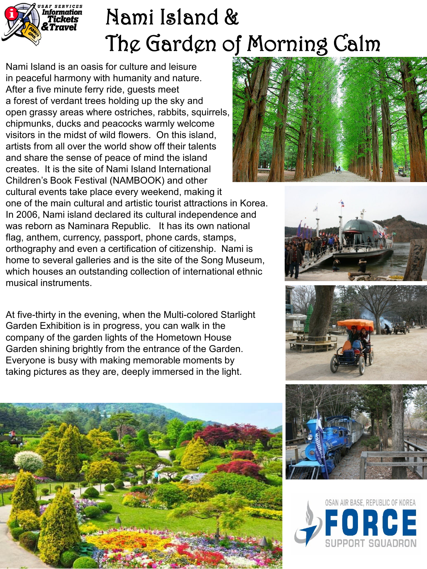

## Nami Island & The Garden of Morning Calm

Nami Island is an oasis for culture and leisure in peaceful harmony with humanity and nature. After a five minute ferry ride, guests meet a forest of verdant trees holding up the sky and open grassy areas where ostriches, rabbits, squirrels, chipmunks, ducks and peacocks warmly welcome visitors in the midst of wild flowers. On this island, artists from all over the world show off their talents and share the sense of peace of mind the island creates. It is the site of Nami Island International Children's Book Festival (NAMBOOK) and other cultural events take place every weekend, making it



one of the main cultural and artistic tourist attractions in Korea. In 2006, Nami island declared its cultural independence and was reborn as Naminara Republic. It has its own national flag, anthem, currency, passport, phone cards, stamps, orthography and even a certification of citizenship. Nami is home to several galleries and is the site of the Song Museum, which houses an outstanding collection of international ethnic musical instruments.

At five-thirty in the evening, when the Multi-colored Starlight Garden Exhibition is in progress, you can walk in the company of the garden lights of the Hometown House Garden shining brightly from the entrance of the Garden. Everyone is busy with making memorable moments by taking pictures as they are, deeply immersed in the light.